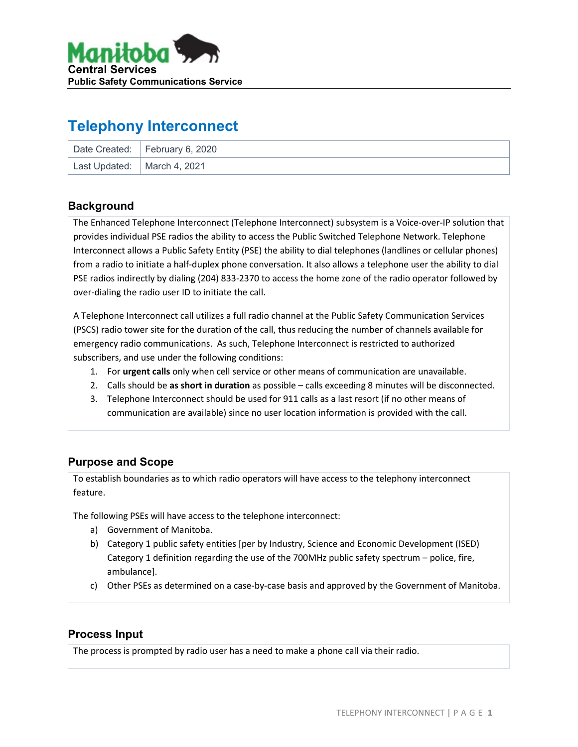

# **Telephony Interconnect**

|                               | Date Created:   February 6, 2020 |
|-------------------------------|----------------------------------|
| Last Updated:   March 4, 2021 |                                  |

#### **Background**

The Enhanced Telephone Interconnect (Telephone Interconnect) subsystem is a Voice-over-IP solution that provides individual PSE radios the ability to access the Public Switched Telephone Network. Telephone Interconnect allows a Public Safety Entity (PSE) the ability to dial telephones (landlines or cellular phones) from a radio to initiate a half-duplex phone conversation. It also allows a telephone user the ability to dial PSE radios indirectly by dialing (204) 833-2370 to access the home zone of the radio operator followed by over-dialing the radio user ID to initiate the call.

A Telephone Interconnect call utilizes a full radio channel at the Public Safety Communication Services (PSCS) radio tower site for the duration of the call, thus reducing the number of channels available for emergency radio communications. As such, Telephone Interconnect is restricted to authorized subscribers, and use under the following conditions:

- 1. For **urgent calls** only when cell service or other means of communication are unavailable.
- 2. Calls should be **as short in duration** as possible calls exceeding 8 minutes will be disconnected.
- 3. Telephone Interconnect should be used for 911 calls as a last resort (if no other means of communication are available) since no user location information is provided with the call.

### **Purpose and Scope**

To establish boundaries as to which radio operators will have access to the telephony interconnect feature.

The following PSEs will have access to the telephone interconnect:

- a) Government of Manitoba.
- b) Category 1 public safety entities [per by Industry, Science and Economic Development (ISED) Category 1 definition regarding the use of the 700MHz public safety spectrum – police, fire, ambulance].
- c) Other PSEs as determined on a case-by-case basis and approved by the Government of Manitoba.

#### **Process Input**

The process is prompted by radio user has a need to make a phone call via their radio.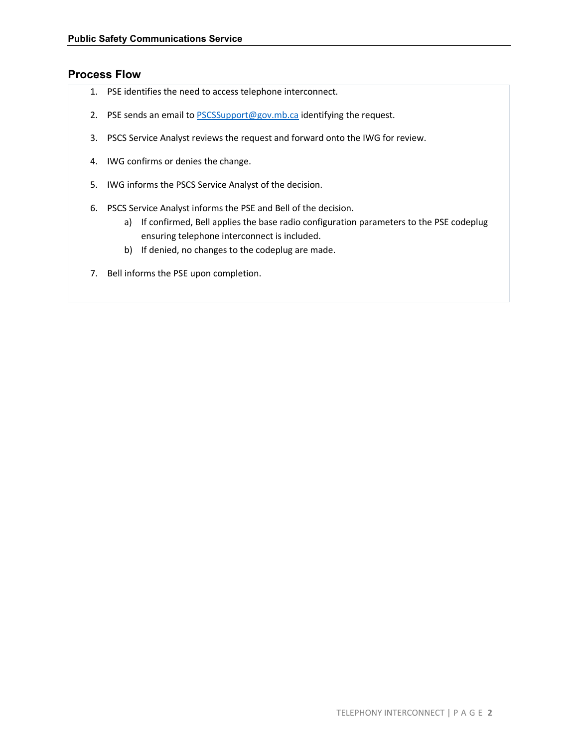#### **Process Flow**

- 1. PSE identifies the need to access telephone interconnect.
- 2. PSE sends an email t[o PSCSSupport@gov.mb.ca](mailto:PSCSSupport@gov.mb.ca) identifying the request.
- 3. PSCS Service Analyst reviews the request and forward onto the IWG for review.
- 4. IWG confirms or denies the change.
- 5. IWG informs the PSCS Service Analyst of the decision.
- 6. PSCS Service Analyst informs the PSE and Bell of the decision.
	- a) If confirmed, Bell applies the base radio configuration parameters to the PSE codeplug ensuring telephone interconnect is included.
	- b) If denied, no changes to the codeplug are made.
- 7. Bell informs the PSE upon completion.